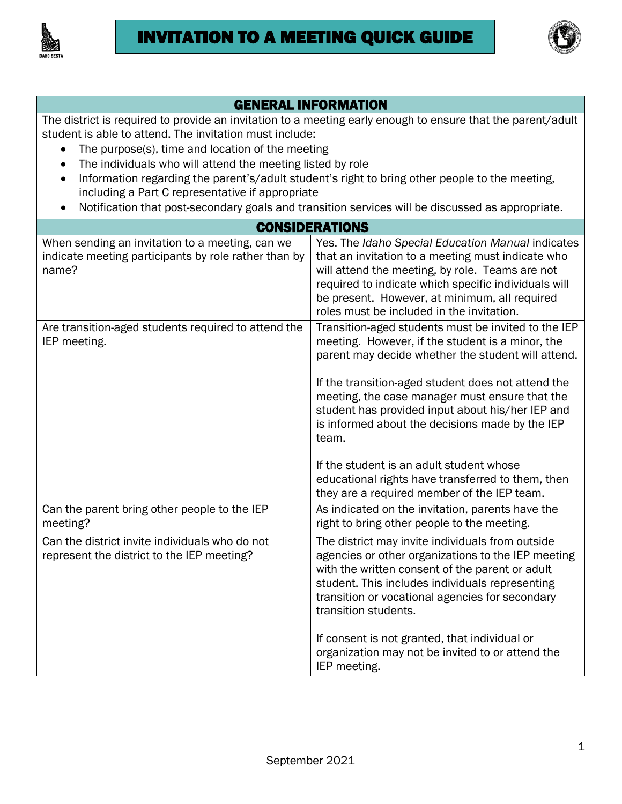



## GENERAL INFORMATION

The district is required to provide an invitation to a meeting early enough to ensure that the parent/adult student is able to attend. The invitation must include:

- The purpose(s), time and location of the meeting
- The individuals who will attend the meeting listed by role
- Information regarding the parent's/adult student's right to bring other people to the meeting, including a Part C representative if appropriate
- Notification that post-secondary goals and transition services will be discussed as appropriate.

## **CONSIDERATIONS**

| When sending an invitation to a meeting, can we<br>indicate meeting participants by role rather than by<br>name? | Yes. The Idaho Special Education Manual indicates<br>that an invitation to a meeting must indicate who<br>will attend the meeting, by role. Teams are not<br>required to indicate which specific individuals will<br>be present. However, at minimum, all required<br>roles must be included in the invitation.                                                                                              |
|------------------------------------------------------------------------------------------------------------------|--------------------------------------------------------------------------------------------------------------------------------------------------------------------------------------------------------------------------------------------------------------------------------------------------------------------------------------------------------------------------------------------------------------|
| Are transition-aged students required to attend the<br>IEP meeting.                                              | Transition-aged students must be invited to the IEP<br>meeting. However, if the student is a minor, the<br>parent may decide whether the student will attend.<br>If the transition-aged student does not attend the<br>meeting, the case manager must ensure that the<br>student has provided input about his/her IEP and<br>is informed about the decisions made by the IEP<br>team.                        |
|                                                                                                                  | If the student is an adult student whose<br>educational rights have transferred to them, then<br>they are a required member of the IEP team.                                                                                                                                                                                                                                                                 |
| Can the parent bring other people to the IEP<br>meeting?                                                         | As indicated on the invitation, parents have the<br>right to bring other people to the meeting.                                                                                                                                                                                                                                                                                                              |
| Can the district invite individuals who do not<br>represent the district to the IEP meeting?                     | The district may invite individuals from outside<br>agencies or other organizations to the IEP meeting<br>with the written consent of the parent or adult<br>student. This includes individuals representing<br>transition or vocational agencies for secondary<br>transition students.<br>If consent is not granted, that individual or<br>organization may not be invited to or attend the<br>IEP meeting. |